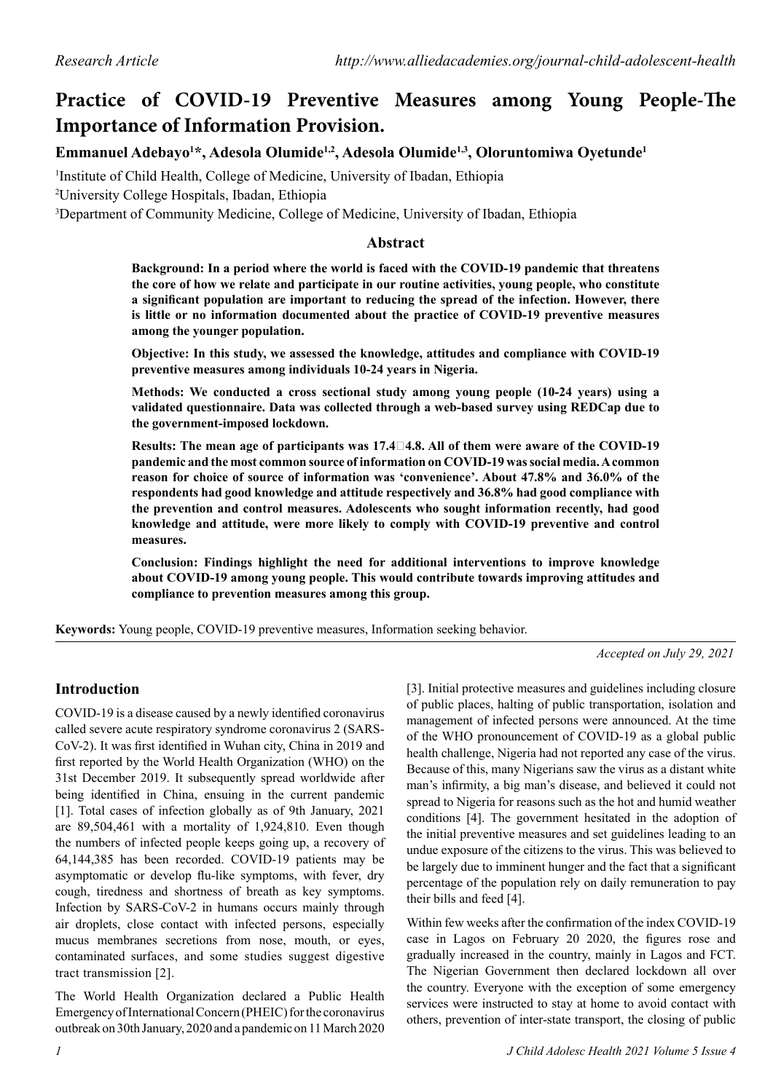# **Practice of COVID-19 Preventive Measures among Young People-The Importance of Information Provision.**

# **Emmanuel Adebayo1 \*, Adesola Olumide1,2, Adesola Olumide1,3, Oloruntomiwa Oyetunde1**

1 Institute of Child Health, College of Medicine, University of Ibadan, Ethiopia

2 University College Hospitals, Ibadan, Ethiopia

3 Department of Community Medicine, College of Medicine, University of Ibadan, Ethiopia

#### **Abstract**

**Background: In a period where the world is faced with the COVID-19 pandemic that threatens the core of how we relate and participate in our routine activities, young people, who constitute a significant population are important to reducing the spread of the infection. However, there is little or no information documented about the practice of COVID-19 preventive measures among the younger population.** 

**Objective: In this study, we assessed the knowledge, attitudes and compliance with COVID-19 preventive measures among individuals 10-24 years in Nigeria.**

**Methods: We conducted a cross sectional study among young people (10-24 years) using a validated questionnaire. Data was collected through a web-based survey using REDCap due to the government-imposed lockdown.** 

**Results: The mean age of participants was 17.44.8. All of them were aware of the COVID-19 pandemic and the most common source of information on COVID-19 was social media. A common reason for choice of source of information was 'convenience'. About 47.8% and 36.0% of the respondents had good knowledge and attitude respectively and 36.8% had good compliance with the prevention and control measures. Adolescents who sought information recently, had good knowledge and attitude, were more likely to comply with COVID-19 preventive and control measures.** 

**Conclusion: Findings highlight the need for additional interventions to improve knowledge about COVID-19 among young people. This would contribute towards improving attitudes and compliance to prevention measures among this group.**

**Keywords:** Young people, COVID-19 preventive measures, Information seeking behavior.

*Accepted on July 29, 2021*

# **Introduction**

COVID-19 is a disease caused by a newly identified coronavirus called severe acute respiratory syndrome coronavirus 2 (SARS-CoV-2). It was first identified in Wuhan city, China in 2019 and first reported by the World Health Organization (WHO) on the 31st December 2019. It subsequently spread worldwide after being identified in China, ensuing in the current pandemic [1]. Total cases of infection globally as of 9th January, 2021 are 89,504,461 with a mortality of 1,924,810. Even though the numbers of infected people keeps going up, a recovery of 64,144,385 has been recorded. COVID-19 patients may be asymptomatic or develop flu-like symptoms, with fever, dry cough, tiredness and shortness of breath as key symptoms. Infection by SARS-CoV-2 in humans occurs mainly through air droplets, close contact with infected persons, especially mucus membranes secretions from nose, mouth, or eyes, contaminated surfaces, and some studies suggest digestive tract transmission [2].

The World Health Organization declared a Public Health Emergency of International Concern (PHEIC) for the coronavirus outbreak on 30th January, 2020 and a pandemic on 11 March 2020 [3]. Initial protective measures and guidelines including closure of public places, halting of public transportation, isolation and management of infected persons were announced. At the time of the WHO pronouncement of COVID-19 as a global public health challenge, Nigeria had not reported any case of the virus. Because of this, many Nigerians saw the virus as a distant white man's infirmity, a big man's disease, and believed it could not spread to Nigeria for reasons such as the hot and humid weather conditions [4]. The government hesitated in the adoption of the initial preventive measures and set guidelines leading to an undue exposure of the citizens to the virus. This was believed to be largely due to imminent hunger and the fact that a significant percentage of the population rely on daily remuneration to pay their bills and feed [4].

Within few weeks after the confirmation of the index COVID-19 case in Lagos on February 20 2020, the figures rose and gradually increased in the country, mainly in Lagos and FCT. The Nigerian Government then declared lockdown all over the country. Everyone with the exception of some emergency services were instructed to stay at home to avoid contact with others, prevention of inter-state transport, the closing of public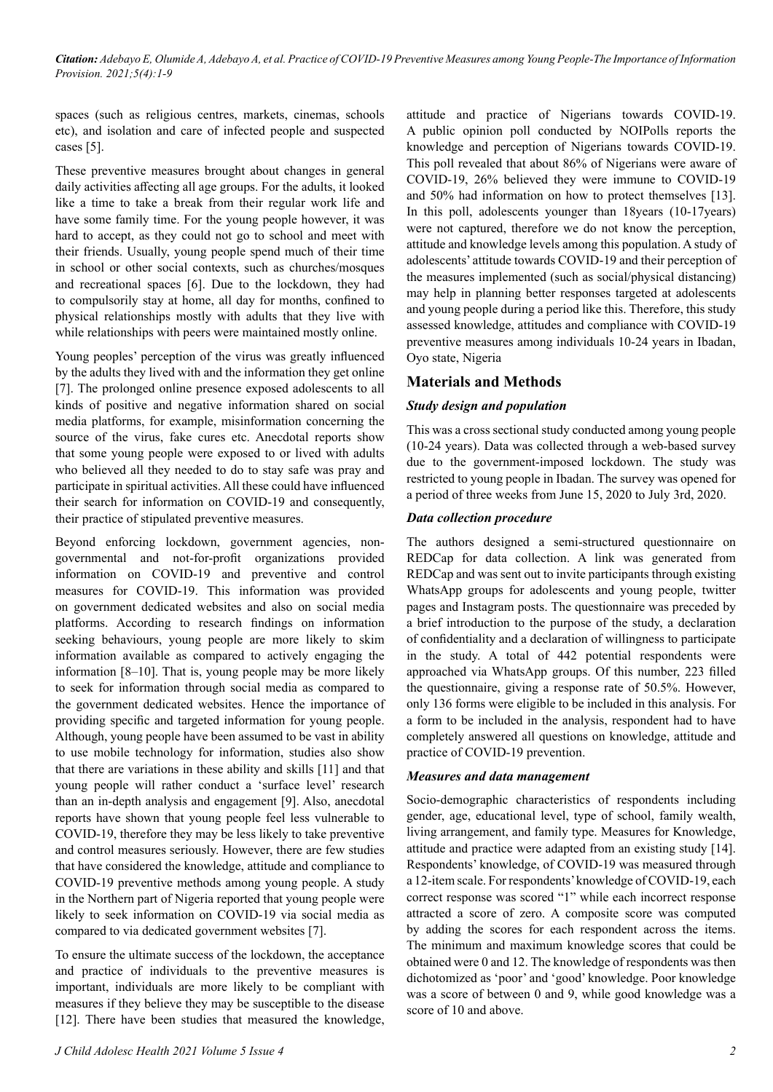*Citation: Adebayo E, Olumide A, Adebayo A, et al. Practice of COVID-19 Preventive Measures among Young People-The Importance of Information Provision. 2021;5(4):1-9*

spaces (such as religious centres, markets, cinemas, schools etc), and isolation and care of infected people and suspected cases [5].

These preventive measures brought about changes in general daily activities affecting all age groups. For the adults, it looked like a time to take a break from their regular work life and have some family time. For the young people however, it was hard to accept, as they could not go to school and meet with their friends. Usually, young people spend much of their time in school or other social contexts, such as churches/mosques and recreational spaces [6]. Due to the lockdown, they had to compulsorily stay at home, all day for months, confined to physical relationships mostly with adults that they live with while relationships with peers were maintained mostly online.

Young peoples' perception of the virus was greatly influenced by the adults they lived with and the information they get online [7]. The prolonged online presence exposed adolescents to all kinds of positive and negative information shared on social media platforms, for example, misinformation concerning the source of the virus, fake cures etc. Anecdotal reports show that some young people were exposed to or lived with adults who believed all they needed to do to stay safe was pray and participate in spiritual activities. All these could have influenced their search for information on COVID-19 and consequently, their practice of stipulated preventive measures.

Beyond enforcing lockdown, government agencies, nongovernmental and not-for-profit organizations provided information on COVID-19 and preventive and control measures for COVID-19. This information was provided on government dedicated websites and also on social media platforms. According to research findings on information seeking behaviours, young people are more likely to skim information available as compared to actively engaging the information [8–10]. That is, young people may be more likely to seek for information through social media as compared to the government dedicated websites. Hence the importance of providing specific and targeted information for young people. Although, young people have been assumed to be vast in ability to use mobile technology for information, studies also show that there are variations in these ability and skills [11] and that young people will rather conduct a 'surface level' research than an in-depth analysis and engagement [9]. Also, anecdotal reports have shown that young people feel less vulnerable to COVID-19, therefore they may be less likely to take preventive and control measures seriously. However, there are few studies that have considered the knowledge, attitude and compliance to COVID-19 preventive methods among young people. A study in the Northern part of Nigeria reported that young people were likely to seek information on COVID-19 via social media as compared to via dedicated government websites [7].

To ensure the ultimate success of the lockdown, the acceptance and practice of individuals to the preventive measures is important, individuals are more likely to be compliant with measures if they believe they may be susceptible to the disease [12]. There have been studies that measured the knowledge, attitude and practice of Nigerians towards COVID-19. A public opinion poll conducted by NOIPolls reports the knowledge and perception of Nigerians towards COVID-19. This poll revealed that about 86% of Nigerians were aware of COVID-19, 26% believed they were immune to COVID-19 and 50% had information on how to protect themselves [13]. In this poll, adolescents younger than 18years (10-17years) were not captured, therefore we do not know the perception, attitude and knowledge levels among this population. A study of adolescents' attitude towards COVID-19 and their perception of the measures implemented (such as social/physical distancing) may help in planning better responses targeted at adolescents and young people during a period like this. Therefore, this study assessed knowledge, attitudes and compliance with COVID-19 preventive measures among individuals 10-24 years in Ibadan, Oyo state, Nigeria

#### **Materials and Methods**

#### *Study design and population*

This was a cross sectional study conducted among young people (10-24 years). Data was collected through a web-based survey due to the government-imposed lockdown. The study was restricted to young people in Ibadan. The survey was opened for a period of three weeks from June 15, 2020 to July 3rd, 2020.

#### *Data collection procedure*

The authors designed a semi-structured questionnaire on REDCap for data collection. A link was generated from REDCap and was sent out to invite participants through existing WhatsApp groups for adolescents and young people, twitter pages and Instagram posts. The questionnaire was preceded by a brief introduction to the purpose of the study, a declaration of confidentiality and a declaration of willingness to participate in the study. A total of 442 potential respondents were approached via WhatsApp groups. Of this number, 223 filled the questionnaire, giving a response rate of 50.5%. However, only 136 forms were eligible to be included in this analysis. For a form to be included in the analysis, respondent had to have completely answered all questions on knowledge, attitude and practice of COVID-19 prevention.

#### *Measures and data management*

Socio-demographic characteristics of respondents including gender, age, educational level, type of school, family wealth, living arrangement, and family type. Measures for Knowledge, attitude and practice were adapted from an existing study [14]. Respondents' knowledge, of COVID-19 was measured through a 12-item scale. For respondents' knowledge of COVID-19, each correct response was scored "1" while each incorrect response attracted a score of zero. A composite score was computed by adding the scores for each respondent across the items. The minimum and maximum knowledge scores that could be obtained were 0 and 12. The knowledge of respondents was then dichotomized as 'poor' and 'good' knowledge. Poor knowledge was a score of between 0 and 9, while good knowledge was a score of 10 and above.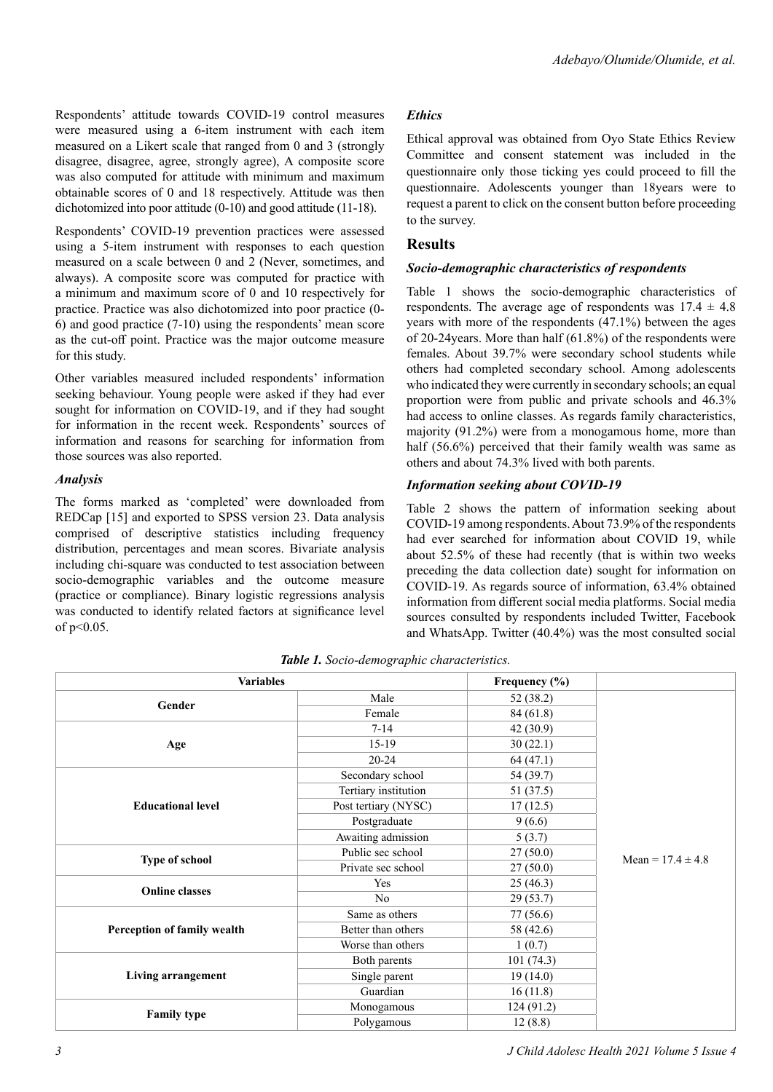Respondents' attitude towards COVID-19 control measures were measured using a 6-item instrument with each item measured on a Likert scale that ranged from 0 and 3 (strongly disagree, disagree, agree, strongly agree), A composite score was also computed for attitude with minimum and maximum obtainable scores of 0 and 18 respectively. Attitude was then dichotomized into poor attitude (0-10) and good attitude (11-18).

Respondents' COVID-19 prevention practices were assessed using a 5-item instrument with responses to each question measured on a scale between 0 and 2 (Never, sometimes, and always). A composite score was computed for practice with a minimum and maximum score of 0 and 10 respectively for practice. Practice was also dichotomized into poor practice (0- 6) and good practice (7-10) using the respondents' mean score as the cut-off point. Practice was the major outcome measure for this study.

Other variables measured included respondents' information seeking behaviour. Young people were asked if they had ever sought for information on COVID-19, and if they had sought for information in the recent week. Respondents' sources of information and reasons for searching for information from those sources was also reported.

#### *Analysis*

The forms marked as 'completed' were downloaded from REDCap [15] and exported to SPSS version 23. Data analysis comprised of descriptive statistics including frequency distribution, percentages and mean scores. Bivariate analysis including chi-square was conducted to test association between socio-demographic variables and the outcome measure (practice or compliance). Binary logistic regressions analysis was conducted to identify related factors at significance level of  $p<0.05$ .

# *Ethics*

Ethical approval was obtained from Oyo State Ethics Review Committee and consent statement was included in the questionnaire only those ticking yes could proceed to fill the questionnaire. Adolescents younger than 18years were to request a parent to click on the consent button before proceeding to the survey.

# **Results**

#### *Socio-demographic characteristics of respondents*

Table 1 shows the socio-demographic characteristics of respondents. The average age of respondents was  $17.4 \pm 4.8$ years with more of the respondents (47.1%) between the ages of 20-24years. More than half (61.8%) of the respondents were females. About 39.7% were secondary school students while others had completed secondary school. Among adolescents who indicated they were currently in secondary schools; an equal proportion were from public and private schools and 46.3% had access to online classes. As regards family characteristics, majority (91.2%) were from a monogamous home, more than half (56.6%) perceived that their family wealth was same as others and about 74.3% lived with both parents.

## *Information seeking about COVID-19*

Table 2 shows the pattern of information seeking about COVID-19 among respondents. About 73.9% of the respondents had ever searched for information about COVID 19, while about 52.5% of these had recently (that is within two weeks preceding the data collection date) sought for information on COVID-19. As regards source of information, 63.4% obtained information from different social media platforms. Social media sources consulted by respondents included Twitter, Facebook and WhatsApp. Twitter (40.4%) was the most consulted social

| <b>Variables</b>            |                      | Frequency (%) |                       |
|-----------------------------|----------------------|---------------|-----------------------|
|                             | Male                 | 52 (38.2)     |                       |
| Gender                      | Female               | 84 (61.8)     |                       |
|                             | $7 - 14$             | 42 (30.9)     |                       |
| Age                         | $15-19$              | 30(22.1)      |                       |
|                             | $20 - 24$            | 64 (47.1)     |                       |
|                             | Secondary school     | 54 (39.7)     |                       |
|                             | Tertiary institution | 51 (37.5)     |                       |
| <b>Educational level</b>    | Post tertiary (NYSC) | 17(12.5)      | Mean = $17.4 \pm 4.8$ |
|                             | Postgraduate         | 9(6.6)        |                       |
|                             | Awaiting admission   | 5(3.7)        |                       |
|                             | Public sec school    | 27(50.0)      |                       |
| Type of school              | Private sec school   | 27(50.0)      |                       |
| <b>Online classes</b>       | Yes                  | 25(46.3)      |                       |
|                             | No                   | 29(53.7)      |                       |
|                             | Same as others       | 77 (56.6)     |                       |
| Perception of family wealth | Better than others   | 58 (42.6)     |                       |
|                             | Worse than others    | 1(0.7)        |                       |
| Living arrangement          | Both parents         | 101(74.3)     |                       |
|                             | Single parent        | 19(14.0)      |                       |
|                             | Guardian             | 16(11.8)      |                       |
|                             | Monogamous           | 124 (91.2)    |                       |
| <b>Family type</b>          | Polygamous           | 12(8.8)       |                       |

*Table 1. Socio-demographic characteristics.*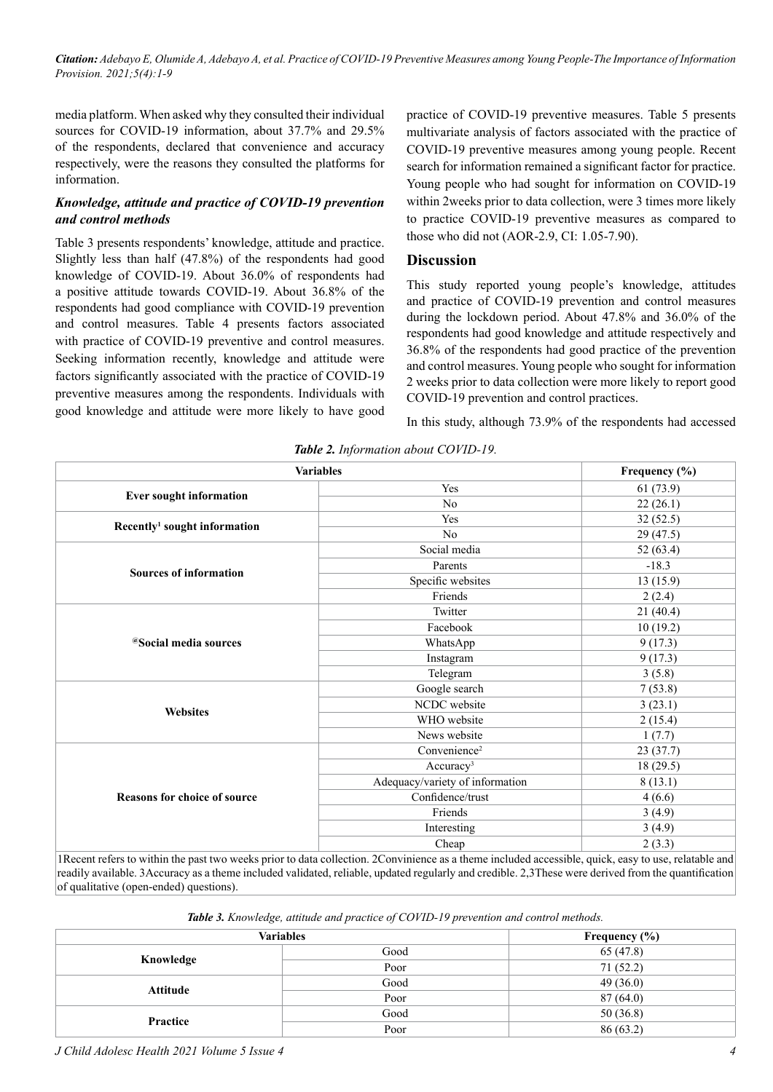*Citation: Adebayo E, Olumide A, Adebayo A, et al. Practice of COVID-19 Preventive Measures among Young People-The Importance of Information Provision. 2021;5(4):1-9*

media platform. When asked why they consulted their individual sources for COVID-19 information, about 37.7% and 29.5% of the respondents, declared that convenience and accuracy respectively, were the reasons they consulted the platforms for information.

#### *Knowledge, attitude and practice of COVID-19 prevention and control methods*

Table 3 presents respondents' knowledge, attitude and practice. Slightly less than half (47.8%) of the respondents had good knowledge of COVID-19. About 36.0% of respondents had a positive attitude towards COVID-19. About 36.8% of the respondents had good compliance with COVID-19 prevention and control measures. Table 4 presents factors associated with practice of COVID-19 preventive and control measures. Seeking information recently, knowledge and attitude were factors significantly associated with the practice of COVID-19 preventive measures among the respondents. Individuals with good knowledge and attitude were more likely to have good practice of COVID-19 preventive measures. Table 5 presents multivariate analysis of factors associated with the practice of COVID-19 preventive measures among young people. Recent search for information remained a significant factor for practice. Young people who had sought for information on COVID-19 within 2weeks prior to data collection, were 3 times more likely to practice COVID-19 preventive measures as compared to those who did not (AOR-2.9, CI: 1.05-7.90).

#### **Discussion**

This study reported young people's knowledge, attitudes and practice of COVID-19 prevention and control measures during the lockdown period. About 47.8% and 36.0% of the respondents had good knowledge and attitude respectively and 36.8% of the respondents had good practice of the prevention and control measures. Young people who sought for information 2 weeks prior to data collection were more likely to report good COVID-19 prevention and control practices.

In this study, although 73.9% of the respondents had accessed

| <b>Variables</b>                         |                                 | Frequency (%) |
|------------------------------------------|---------------------------------|---------------|
|                                          | Yes                             | 61(73.9)      |
| <b>Ever sought information</b>           | N <sub>o</sub>                  | 22(26.1)      |
| Recently <sup>1</sup> sought information | Yes                             | 32(52.5)      |
|                                          | N <sub>o</sub>                  | 29(47.5)      |
|                                          | Social media                    | 52(63.4)      |
| <b>Sources of information</b>            | Parents                         | $-18.3$       |
|                                          | Specific websites               | 13(15.9)      |
|                                          | Friends                         | 2(2.4)        |
|                                          | Twitter                         | 21(40.4)      |
|                                          | Facebook                        | 10(19.2)      |
| <sup>@</sup> Social media sources        | WhatsApp                        | 9(17.3)       |
|                                          | Instagram                       | 9(17.3)       |
|                                          | Telegram                        | 3(5.8)        |
|                                          | Google search                   | 7(53.8)       |
| <b>Websites</b>                          | NCDC website                    | 3(23.1)       |
|                                          | WHO website                     | 2(15.4)       |
|                                          | News website                    | 1(7.7)        |
|                                          | Convenience <sup>2</sup>        | 23(37.7)      |
|                                          | Accuracy <sup>3</sup>           | 18(29.5)      |
|                                          | Adequacy/variety of information | 8(13.1)       |
| <b>Reasons for choice of source</b>      | Confidence/trust                | 4(6.6)        |
|                                          | Friends                         | 3(4.9)        |
|                                          | Interesting                     | 3(4.9)        |
|                                          | Cheap                           | 2(3.3)        |

*Table 2. Information about COVID-19.*

1Recent refers to within the past two weeks prior to data collection. 2Convinience as a theme included accessible, quick, easy to use, relatable and readily available. 3Accuracy as a theme included validated, reliable, updated regularly and credible. 2,3These were derived from the quantification of qualitative (open-ended) questions).

*Table 3. Knowledge, attitude and practice of COVID-19 prevention and control methods.*

| <b>Variables</b> |      | Frequency $(\% )$ |
|------------------|------|-------------------|
| Knowledge        | Good | 65(47.8)          |
|                  | Poor | 71(52.2)          |
| <b>Attitude</b>  | Good | 49(36.0)          |
|                  | Poor | 87(64.0)          |
| Practice         | Good | 50(36.8)          |
|                  | Poor | 86 (63.2)         |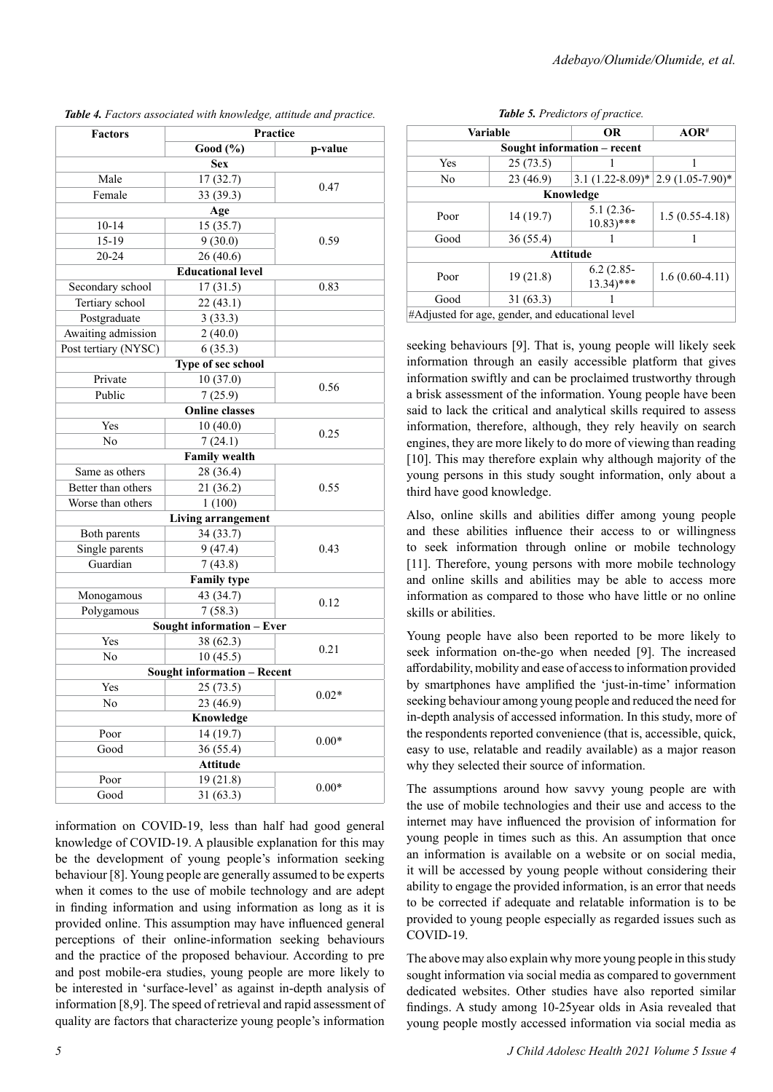| <b>Factors</b>       | Practice                           |         |  |
|----------------------|------------------------------------|---------|--|
|                      | Good (%)                           | p-value |  |
|                      | <b>Sex</b>                         |         |  |
| Male                 | 17(32.7)                           | 0.47    |  |
| Female               | 33 (39.3)                          |         |  |
|                      | Age                                |         |  |
| $10 - 14$            | 15(35.7)                           |         |  |
| 15-19                | 9(30.0)                            | 0.59    |  |
| 20-24                | 26(40.6)                           |         |  |
|                      | <b>Educational level</b>           |         |  |
| Secondary school     | 17(31.5)                           | 0.83    |  |
| Tertiary school      | 22(43.1)                           |         |  |
| Postgraduate         | 3(33.3)                            |         |  |
| Awaiting admission   | 2(40.0)                            |         |  |
| Post tertiary (NYSC) | 6(35.3)                            |         |  |
|                      | Type of sec school                 |         |  |
| Private              | 10(37.0)                           | 0.56    |  |
| Public               | 7(25.9)                            |         |  |
|                      | <b>Online classes</b>              |         |  |
| Yes                  | 10(40.0)                           | 0.25    |  |
| N <sub>0</sub>       | 7(24.1)                            |         |  |
|                      | <b>Family wealth</b>               |         |  |
| Same as others       | 28 (36.4)                          |         |  |
| Better than others   | 21 (36.2)                          | 0.55    |  |
| Worse than others    | 1(100)                             |         |  |
|                      | <b>Living arrangement</b>          |         |  |
| Both parents         | 34 (33.7)                          |         |  |
| Single parents       | 9(47.4)                            | 0.43    |  |
| Guardian             | 7(43.8)                            |         |  |
|                      | <b>Family type</b>                 |         |  |
| Monogamous           | 43 (34.7)                          | 0.12    |  |
| Polygamous           | 7(58.3)                            |         |  |
|                      | Sought information - Ever          |         |  |
| Yes                  | 38 (62.3)                          | 0.21    |  |
| No                   | 10(45.5)                           |         |  |
|                      | <b>Sought information - Recent</b> |         |  |
| Yes                  | 25(73.5)                           |         |  |
| N <sub>o</sub>       | 23 (46.9)                          | $0.02*$ |  |
| Knowledge            |                                    |         |  |
| Poor                 | 14 (19.7)                          |         |  |
| Good                 | 36(55.4)                           | $0.00*$ |  |
|                      | <b>Attitude</b>                    |         |  |
| Poor                 | 19 (21.8)                          | $0.00*$ |  |
| Good                 | 31(63.3)                           |         |  |

*Table 4. Factors associated with knowledge, attitude and practice.*

information on COVID-19, less than half had good general knowledge of COVID-19. A plausible explanation for this may be the development of young people's information seeking behaviour [8]. Young people are generally assumed to be experts when it comes to the use of mobile technology and are adept in finding information and using information as long as it is provided online. This assumption may have influenced general perceptions of their online-information seeking behaviours and the practice of the proposed behaviour. According to pre and post mobile-era studies, young people are more likely to be interested in 'surface-level' as against in-depth analysis of information [8,9]. The speed of retrieval and rapid assessment of quality are factors that characterize young people's information

|  |  | Table 5. Predictors of practice. |
|--|--|----------------------------------|
|--|--|----------------------------------|

| <b>Variable</b>                                  |           | <b>OR</b>                              | $AOR$ <sup>#</sup>                          |
|--------------------------------------------------|-----------|----------------------------------------|---------------------------------------------|
| Sought information – recent                      |           |                                        |                                             |
| Yes                                              | 25(73.5)  |                                        |                                             |
| N <sub>0</sub>                                   | 23 (46.9) |                                        | 3.1 $(1.22 - 8.09)^*$ 2.9 $(1.05 - 7.90)^*$ |
| Knowledge                                        |           |                                        |                                             |
| Poor                                             | 14(19.7)  | $5.1(2.36-$<br>$10.83$ <sup>***</sup>  | $1.5(0.55-4.18)$                            |
| Good                                             | 36(55.4)  |                                        |                                             |
| <b>Attitude</b>                                  |           |                                        |                                             |
| Poor                                             | 19(21.8)  | $6.2(2.85 -$<br>$13.34$ <sup>***</sup> | $1.6(0.60-4.11)$                            |
| Good                                             | 31(63.3)  |                                        |                                             |
| #Adjusted for age, gender, and educational level |           |                                        |                                             |

seeking behaviours [9]. That is, young people will likely seek information through an easily accessible platform that gives information swiftly and can be proclaimed trustworthy through a brisk assessment of the information. Young people have been said to lack the critical and analytical skills required to assess information, therefore, although, they rely heavily on search engines, they are more likely to do more of viewing than reading [10]. This may therefore explain why although majority of the young persons in this study sought information, only about a third have good knowledge.

Also, online skills and abilities differ among young people and these abilities influence their access to or willingness to seek information through online or mobile technology [11]. Therefore, young persons with more mobile technology and online skills and abilities may be able to access more information as compared to those who have little or no online skills or abilities.

Young people have also been reported to be more likely to seek information on-the-go when needed [9]. The increased affordability, mobility and ease of access to information provided by smartphones have amplified the 'just-in-time' information seeking behaviour among young people and reduced the need for in-depth analysis of accessed information. In this study, more of the respondents reported convenience (that is, accessible, quick, easy to use, relatable and readily available) as a major reason why they selected their source of information.

The assumptions around how savvy young people are with the use of mobile technologies and their use and access to the internet may have influenced the provision of information for young people in times such as this. An assumption that once an information is available on a website or on social media, it will be accessed by young people without considering their ability to engage the provided information, is an error that needs to be corrected if adequate and relatable information is to be provided to young people especially as regarded issues such as COVID-19.

The above may also explain why more young people in this study sought information via social media as compared to government dedicated websites. Other studies have also reported similar findings. A study among 10-25year olds in Asia revealed that young people mostly accessed information via social media as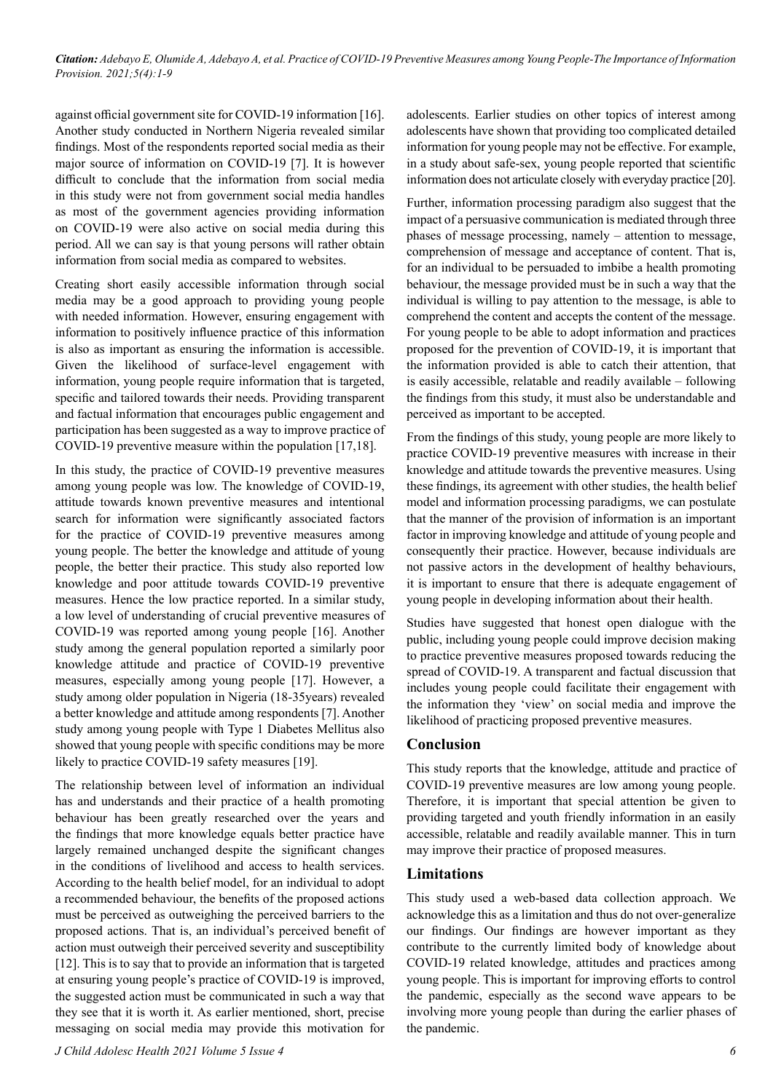*Citation: Adebayo E, Olumide A, Adebayo A, et al. Practice of COVID-19 Preventive Measures among Young People-The Importance of Information Provision. 2021;5(4):1-9*

against official government site for COVID-19 information [16]. Another study conducted in Northern Nigeria revealed similar findings. Most of the respondents reported social media as their major source of information on COVID-19 [7]. It is however difficult to conclude that the information from social media in this study were not from government social media handles as most of the government agencies providing information on COVID-19 were also active on social media during this period. All we can say is that young persons will rather obtain information from social media as compared to websites.

Creating short easily accessible information through social media may be a good approach to providing young people with needed information. However, ensuring engagement with information to positively influence practice of this information is also as important as ensuring the information is accessible. Given the likelihood of surface-level engagement with information, young people require information that is targeted, specific and tailored towards their needs. Providing transparent and factual information that encourages public engagement and participation has been suggested as a way to improve practice of COVID-19 preventive measure within the population [17,18].

In this study, the practice of COVID-19 preventive measures among young people was low. The knowledge of COVID-19, attitude towards known preventive measures and intentional search for information were significantly associated factors for the practice of COVID-19 preventive measures among young people. The better the knowledge and attitude of young people, the better their practice. This study also reported low knowledge and poor attitude towards COVID-19 preventive measures. Hence the low practice reported. In a similar study, a low level of understanding of crucial preventive measures of COVID-19 was reported among young people [16]. Another study among the general population reported a similarly poor knowledge attitude and practice of COVID-19 preventive measures, especially among young people [17]. However, a study among older population in Nigeria (18-35years) revealed a better knowledge and attitude among respondents [7]. Another study among young people with Type 1 Diabetes Mellitus also showed that young people with specific conditions may be more likely to practice COVID-19 safety measures [19].

The relationship between level of information an individual has and understands and their practice of a health promoting behaviour has been greatly researched over the years and the findings that more knowledge equals better practice have largely remained unchanged despite the significant changes in the conditions of livelihood and access to health services. According to the health belief model, for an individual to adopt a recommended behaviour, the benefits of the proposed actions must be perceived as outweighing the perceived barriers to the proposed actions. That is, an individual's perceived benefit of action must outweigh their perceived severity and susceptibility [12]. This is to say that to provide an information that is targeted at ensuring young people's practice of COVID-19 is improved, the suggested action must be communicated in such a way that they see that it is worth it. As earlier mentioned, short, precise messaging on social media may provide this motivation for adolescents. Earlier studies on other topics of interest among adolescents have shown that providing too complicated detailed information for young people may not be effective. For example, in a study about safe-sex, young people reported that scientific information does not articulate closely with everyday practice [20].

Further, information processing paradigm also suggest that the impact of a persuasive communication is mediated through three phases of message processing, namely – attention to message, comprehension of message and acceptance of content. That is, for an individual to be persuaded to imbibe a health promoting behaviour, the message provided must be in such a way that the individual is willing to pay attention to the message, is able to comprehend the content and accepts the content of the message. For young people to be able to adopt information and practices proposed for the prevention of COVID-19, it is important that the information provided is able to catch their attention, that is easily accessible, relatable and readily available – following the findings from this study, it must also be understandable and perceived as important to be accepted.

From the findings of this study, young people are more likely to practice COVID-19 preventive measures with increase in their knowledge and attitude towards the preventive measures. Using these findings, its agreement with other studies, the health belief model and information processing paradigms, we can postulate that the manner of the provision of information is an important factor in improving knowledge and attitude of young people and consequently their practice. However, because individuals are not passive actors in the development of healthy behaviours, it is important to ensure that there is adequate engagement of young people in developing information about their health.

Studies have suggested that honest open dialogue with the public, including young people could improve decision making to practice preventive measures proposed towards reducing the spread of COVID-19. A transparent and factual discussion that includes young people could facilitate their engagement with the information they 'view' on social media and improve the likelihood of practicing proposed preventive measures.

#### **Conclusion**

This study reports that the knowledge, attitude and practice of COVID-19 preventive measures are low among young people. Therefore, it is important that special attention be given to providing targeted and youth friendly information in an easily accessible, relatable and readily available manner. This in turn may improve their practice of proposed measures.

#### **Limitations**

This study used a web-based data collection approach. We acknowledge this as a limitation and thus do not over-generalize our findings. Our findings are however important as they contribute to the currently limited body of knowledge about COVID-19 related knowledge, attitudes and practices among young people. This is important for improving efforts to control the pandemic, especially as the second wave appears to be involving more young people than during the earlier phases of the pandemic.